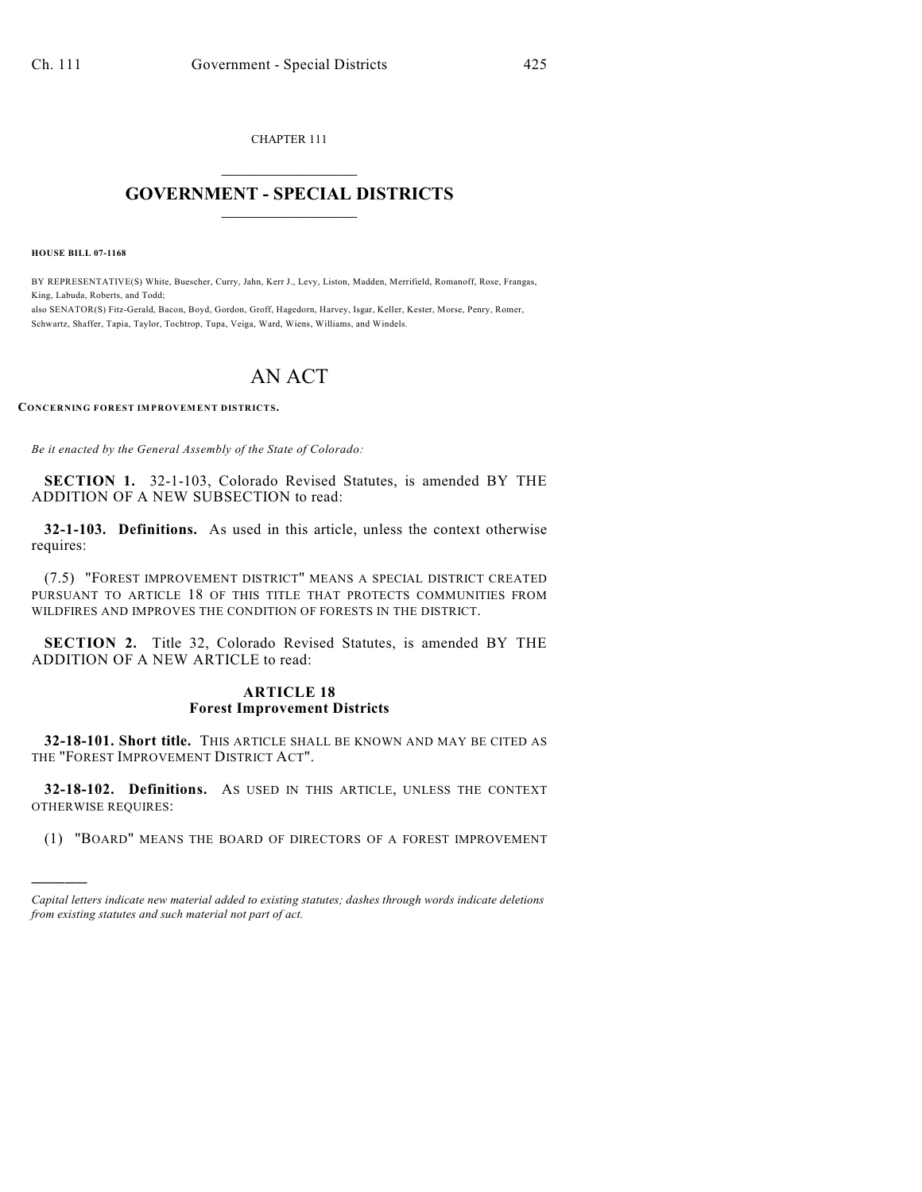CHAPTER 111  $\overline{\phantom{a}}$  . The set of the set of the set of the set of the set of the set of the set of the set of the set of the set of the set of the set of the set of the set of the set of the set of the set of the set of the set o

## **GOVERNMENT - SPECIAL DISTRICTS**  $\_$   $\_$

**HOUSE BILL 07-1168**

)))))

BY REPRESENTATIVE(S) White, Buescher, Curry, Jahn, Kerr J., Levy, Liston, Madden, Merrifield, Romanoff, Rose, Frangas, King, Labuda, Roberts, and Todd;

also SENATOR(S) Fitz-Gerald, Bacon, Boyd, Gordon, Groff, Hagedorn, Harvey, Isgar, Keller, Kester, Morse, Penry, Romer, Schwartz, Shaffer, Tapia, Taylor, Tochtrop, Tupa, Veiga, Ward, Wiens, Williams, and Windels.

## AN ACT

**CONCERNING FOREST IMPROVEMENT DISTRICTS.**

*Be it enacted by the General Assembly of the State of Colorado:*

**SECTION 1.** 32-1-103, Colorado Revised Statutes, is amended BY THE ADDITION OF A NEW SUBSECTION to read:

**32-1-103. Definitions.** As used in this article, unless the context otherwise requires:

(7.5) "FOREST IMPROVEMENT DISTRICT" MEANS A SPECIAL DISTRICT CREATED PURSUANT TO ARTICLE 18 OF THIS TITLE THAT PROTECTS COMMUNITIES FROM WILDFIRES AND IMPROVES THE CONDITION OF FORESTS IN THE DISTRICT.

**SECTION 2.** Title 32, Colorado Revised Statutes, is amended BY THE ADDITION OF A NEW ARTICLE to read:

## **ARTICLE 18 Forest Improvement Districts**

**32-18-101. Short title.** THIS ARTICLE SHALL BE KNOWN AND MAY BE CITED AS THE "FOREST IMPROVEMENT DISTRICT ACT".

**32-18-102. Definitions.** AS USED IN THIS ARTICLE, UNLESS THE CONTEXT OTHERWISE REQUIRES:

(1) "BOARD" MEANS THE BOARD OF DIRECTORS OF A FOREST IMPROVEMENT

*Capital letters indicate new material added to existing statutes; dashes through words indicate deletions from existing statutes and such material not part of act.*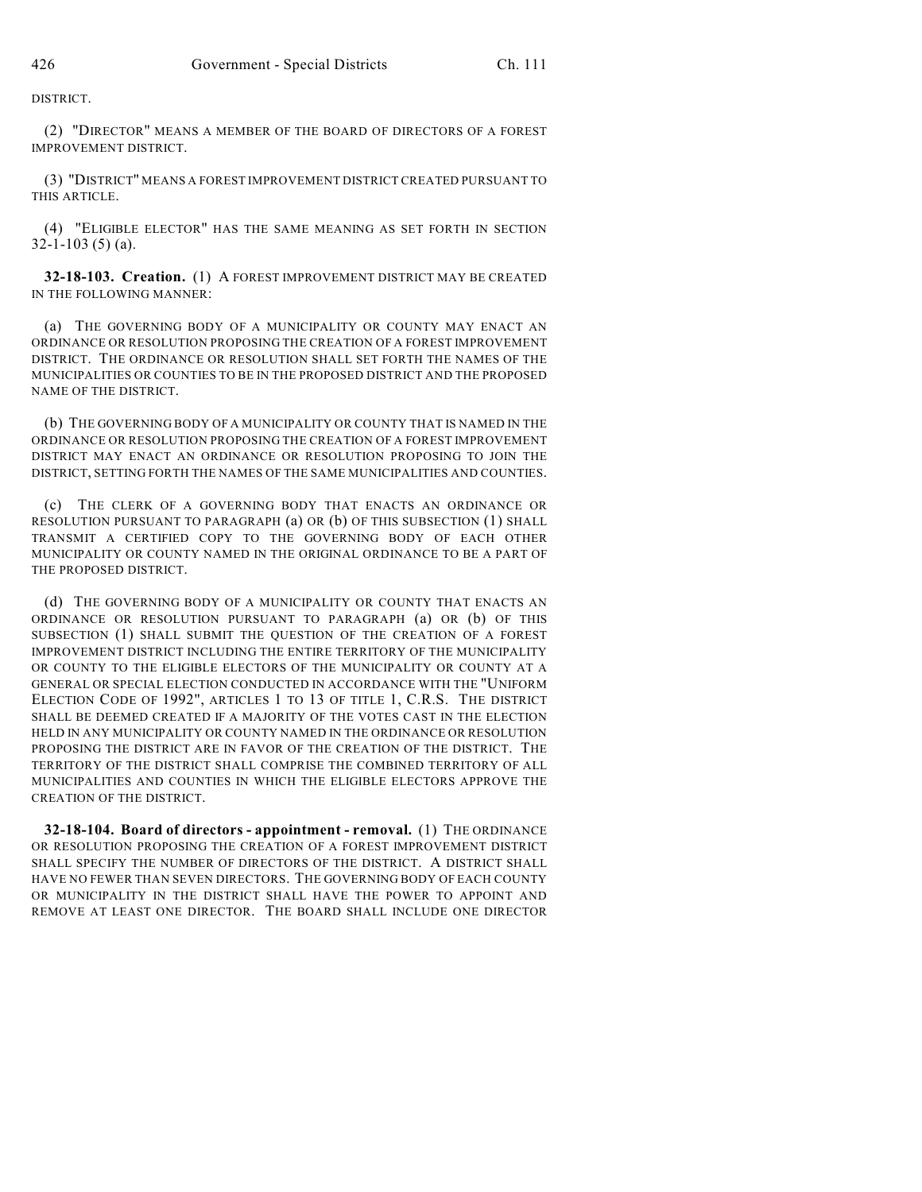DISTRICT.

(2) "DIRECTOR" MEANS A MEMBER OF THE BOARD OF DIRECTORS OF A FOREST IMPROVEMENT DISTRICT.

(3) "DISTRICT" MEANS A FOREST IMPROVEMENT DISTRICT CREATED PURSUANT TO THIS ARTICLE.

(4) "ELIGIBLE ELECTOR" HAS THE SAME MEANING AS SET FORTH IN SECTION 32-1-103 (5) (a).

**32-18-103. Creation.** (1) A FOREST IMPROVEMENT DISTRICT MAY BE CREATED IN THE FOLLOWING MANNER:

(a) THE GOVERNING BODY OF A MUNICIPALITY OR COUNTY MAY ENACT AN ORDINANCE OR RESOLUTION PROPOSING THE CREATION OF A FOREST IMPROVEMENT DISTRICT. THE ORDINANCE OR RESOLUTION SHALL SET FORTH THE NAMES OF THE MUNICIPALITIES OR COUNTIES TO BE IN THE PROPOSED DISTRICT AND THE PROPOSED NAME OF THE DISTRICT.

(b) THE GOVERNING BODY OF A MUNICIPALITY OR COUNTY THAT IS NAMED IN THE ORDINANCE OR RESOLUTION PROPOSING THE CREATION OF A FOREST IMPROVEMENT DISTRICT MAY ENACT AN ORDINANCE OR RESOLUTION PROPOSING TO JOIN THE DISTRICT, SETTING FORTH THE NAMES OF THE SAME MUNICIPALITIES AND COUNTIES.

(c) THE CLERK OF A GOVERNING BODY THAT ENACTS AN ORDINANCE OR RESOLUTION PURSUANT TO PARAGRAPH (a) OR (b) OF THIS SUBSECTION (1) SHALL TRANSMIT A CERTIFIED COPY TO THE GOVERNING BODY OF EACH OTHER MUNICIPALITY OR COUNTY NAMED IN THE ORIGINAL ORDINANCE TO BE A PART OF THE PROPOSED DISTRICT.

(d) THE GOVERNING BODY OF A MUNICIPALITY OR COUNTY THAT ENACTS AN ORDINANCE OR RESOLUTION PURSUANT TO PARAGRAPH (a) OR (b) OF THIS SUBSECTION (1) SHALL SUBMIT THE QUESTION OF THE CREATION OF A FOREST IMPROVEMENT DISTRICT INCLUDING THE ENTIRE TERRITORY OF THE MUNICIPALITY OR COUNTY TO THE ELIGIBLE ELECTORS OF THE MUNICIPALITY OR COUNTY AT A GENERAL OR SPECIAL ELECTION CONDUCTED IN ACCORDANCE WITH THE "UNIFORM ELECTION CODE OF 1992", ARTICLES 1 TO 13 OF TITLE 1, C.R.S. THE DISTRICT SHALL BE DEEMED CREATED IF A MAJORITY OF THE VOTES CAST IN THE ELECTION HELD IN ANY MUNICIPALITY OR COUNTY NAMED IN THE ORDINANCE OR RESOLUTION PROPOSING THE DISTRICT ARE IN FAVOR OF THE CREATION OF THE DISTRICT. THE TERRITORY OF THE DISTRICT SHALL COMPRISE THE COMBINED TERRITORY OF ALL MUNICIPALITIES AND COUNTIES IN WHICH THE ELIGIBLE ELECTORS APPROVE THE CREATION OF THE DISTRICT.

**32-18-104. Board of directors - appointment - removal.** (1) THE ORDINANCE OR RESOLUTION PROPOSING THE CREATION OF A FOREST IMPROVEMENT DISTRICT SHALL SPECIFY THE NUMBER OF DIRECTORS OF THE DISTRICT. A DISTRICT SHALL HAVE NO FEWER THAN SEVEN DIRECTORS. THE GOVERNING BODY OF EACH COUNTY OR MUNICIPALITY IN THE DISTRICT SHALL HAVE THE POWER TO APPOINT AND REMOVE AT LEAST ONE DIRECTOR. THE BOARD SHALL INCLUDE ONE DIRECTOR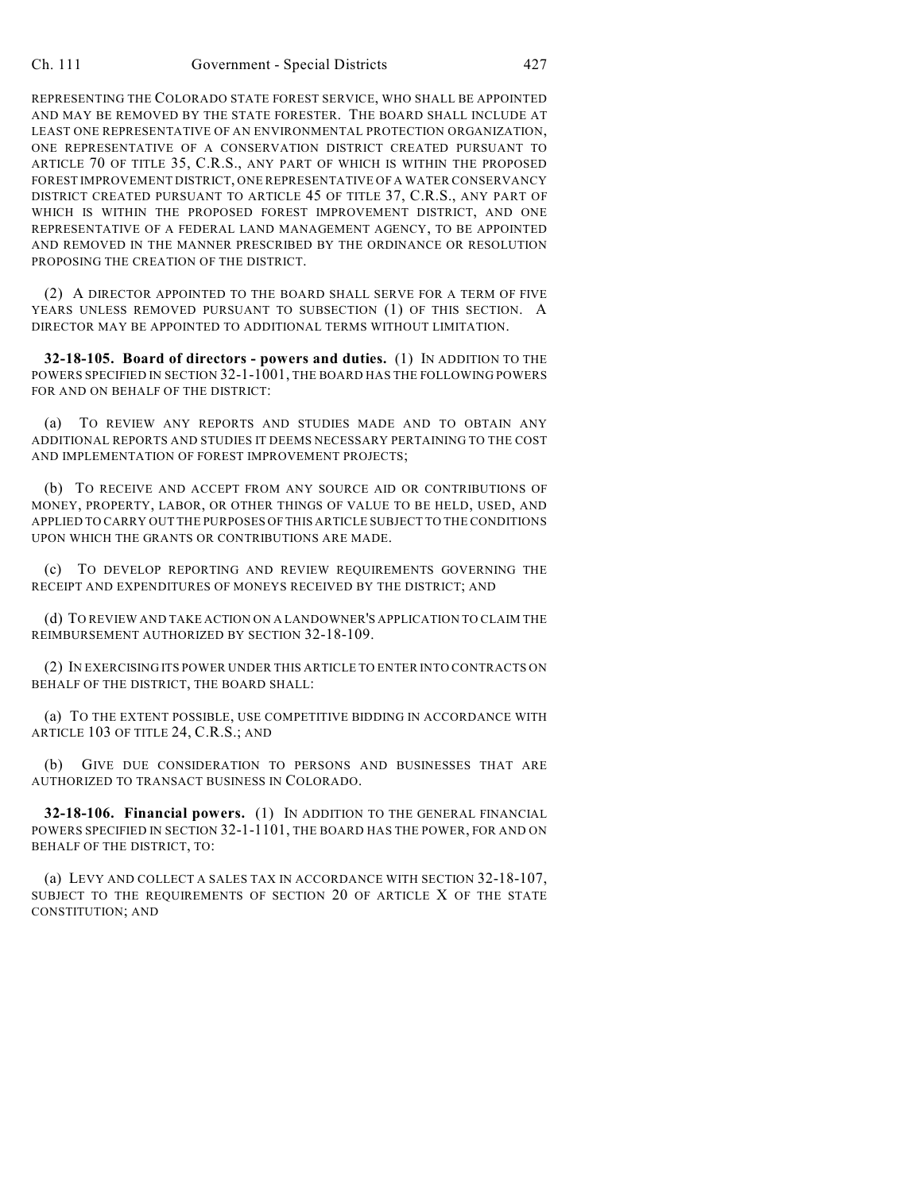REPRESENTING THE COLORADO STATE FOREST SERVICE, WHO SHALL BE APPOINTED AND MAY BE REMOVED BY THE STATE FORESTER. THE BOARD SHALL INCLUDE AT LEAST ONE REPRESENTATIVE OF AN ENVIRONMENTAL PROTECTION ORGANIZATION, ONE REPRESENTATIVE OF A CONSERVATION DISTRICT CREATED PURSUANT TO ARTICLE 70 OF TITLE 35, C.R.S., ANY PART OF WHICH IS WITHIN THE PROPOSED FOREST IMPROVEMENT DISTRICT, ONE REPRESENTATIVE OF A WATER CONSERVANCY DISTRICT CREATED PURSUANT TO ARTICLE 45 OF TITLE 37, C.R.S., ANY PART OF WHICH IS WITHIN THE PROPOSED FOREST IMPROVEMENT DISTRICT, AND ONE REPRESENTATIVE OF A FEDERAL LAND MANAGEMENT AGENCY, TO BE APPOINTED AND REMOVED IN THE MANNER PRESCRIBED BY THE ORDINANCE OR RESOLUTION PROPOSING THE CREATION OF THE DISTRICT.

(2) A DIRECTOR APPOINTED TO THE BOARD SHALL SERVE FOR A TERM OF FIVE YEARS UNLESS REMOVED PURSUANT TO SUBSECTION (1) OF THIS SECTION. A DIRECTOR MAY BE APPOINTED TO ADDITIONAL TERMS WITHOUT LIMITATION.

**32-18-105. Board of directors - powers and duties.** (1) IN ADDITION TO THE POWERS SPECIFIED IN SECTION 32-1-1001, THE BOARD HAS THE FOLLOWING POWERS FOR AND ON BEHALF OF THE DISTRICT:

(a) TO REVIEW ANY REPORTS AND STUDIES MADE AND TO OBTAIN ANY ADDITIONAL REPORTS AND STUDIES IT DEEMS NECESSARY PERTAINING TO THE COST AND IMPLEMENTATION OF FOREST IMPROVEMENT PROJECTS;

(b) TO RECEIVE AND ACCEPT FROM ANY SOURCE AID OR CONTRIBUTIONS OF MONEY, PROPERTY, LABOR, OR OTHER THINGS OF VALUE TO BE HELD, USED, AND APPLIED TO CARRY OUT THE PURPOSES OF THIS ARTICLE SUBJECT TO THE CONDITIONS UPON WHICH THE GRANTS OR CONTRIBUTIONS ARE MADE.

(c) TO DEVELOP REPORTING AND REVIEW REQUIREMENTS GOVERNING THE RECEIPT AND EXPENDITURES OF MONEYS RECEIVED BY THE DISTRICT; AND

(d) TO REVIEW AND TAKE ACTION ON A LANDOWNER'S APPLICATION TO CLAIM THE REIMBURSEMENT AUTHORIZED BY SECTION 32-18-109.

(2) IN EXERCISING ITS POWER UNDER THIS ARTICLE TO ENTER INTO CONTRACTS ON BEHALF OF THE DISTRICT, THE BOARD SHALL:

(a) TO THE EXTENT POSSIBLE, USE COMPETITIVE BIDDING IN ACCORDANCE WITH ARTICLE 103 OF TITLE 24, C.R.S.; AND

(b) GIVE DUE CONSIDERATION TO PERSONS AND BUSINESSES THAT ARE AUTHORIZED TO TRANSACT BUSINESS IN COLORADO.

**32-18-106. Financial powers.** (1) IN ADDITION TO THE GENERAL FINANCIAL POWERS SPECIFIED IN SECTION 32-1-1101, THE BOARD HAS THE POWER, FOR AND ON BEHALF OF THE DISTRICT, TO:

(a) LEVY AND COLLECT A SALES TAX IN ACCORDANCE WITH SECTION 32-18-107, SUBJECT TO THE REQUIREMENTS OF SECTION 20 OF ARTICLE X OF THE STATE CONSTITUTION; AND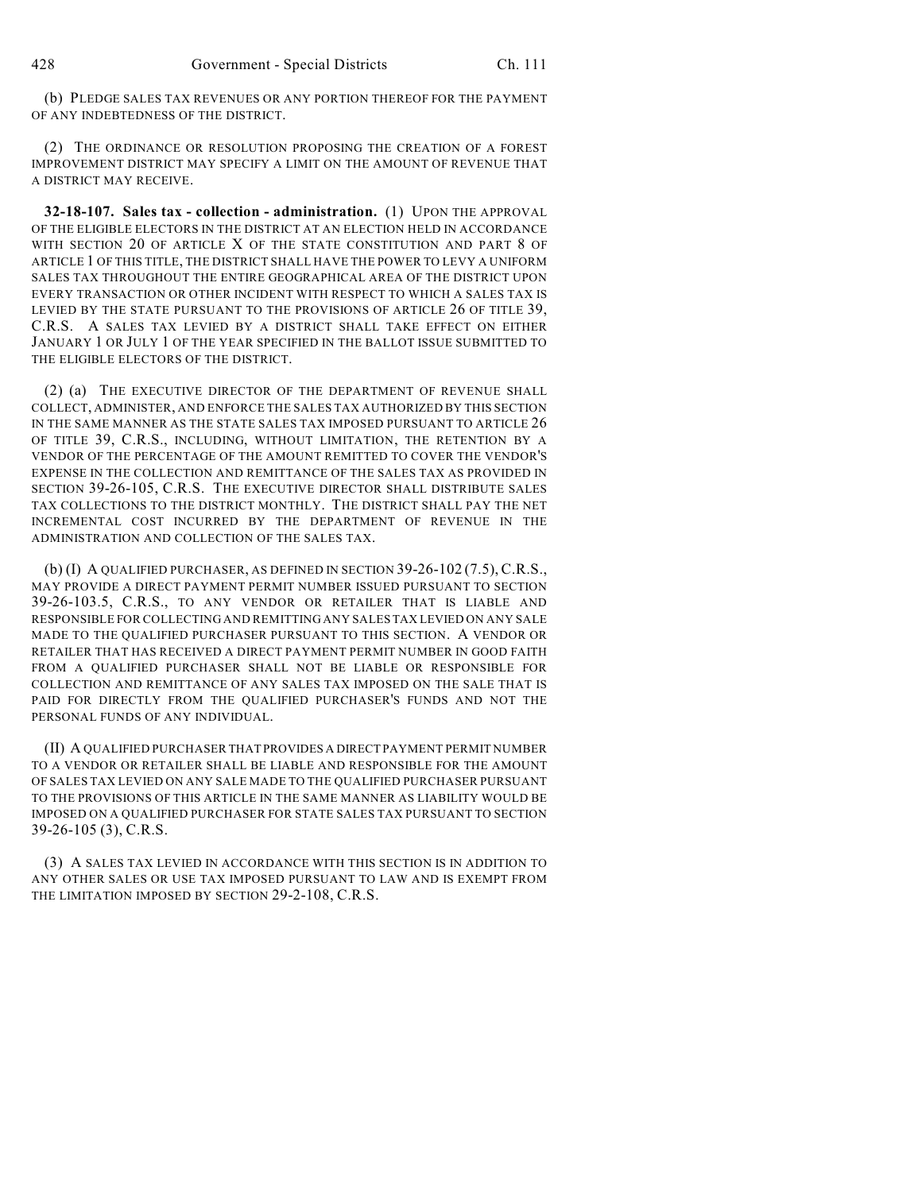(b) PLEDGE SALES TAX REVENUES OR ANY PORTION THEREOF FOR THE PAYMENT OF ANY INDEBTEDNESS OF THE DISTRICT.

(2) THE ORDINANCE OR RESOLUTION PROPOSING THE CREATION OF A FOREST IMPROVEMENT DISTRICT MAY SPECIFY A LIMIT ON THE AMOUNT OF REVENUE THAT A DISTRICT MAY RECEIVE.

**32-18-107. Sales tax - collection - administration.** (1) UPON THE APPROVAL OF THE ELIGIBLE ELECTORS IN THE DISTRICT AT AN ELECTION HELD IN ACCORDANCE WITH SECTION 20 OF ARTICLE X OF THE STATE CONSTITUTION AND PART 8 OF ARTICLE 1 OF THIS TITLE, THE DISTRICT SHALL HAVE THE POWER TO LEVY A UNIFORM SALES TAX THROUGHOUT THE ENTIRE GEOGRAPHICAL AREA OF THE DISTRICT UPON EVERY TRANSACTION OR OTHER INCIDENT WITH RESPECT TO WHICH A SALES TAX IS LEVIED BY THE STATE PURSUANT TO THE PROVISIONS OF ARTICLE 26 OF TITLE 39, C.R.S. A SALES TAX LEVIED BY A DISTRICT SHALL TAKE EFFECT ON EITHER JANUARY 1 OR JULY 1 OF THE YEAR SPECIFIED IN THE BALLOT ISSUE SUBMITTED TO THE ELIGIBLE ELECTORS OF THE DISTRICT.

(2) (a) THE EXECUTIVE DIRECTOR OF THE DEPARTMENT OF REVENUE SHALL COLLECT, ADMINISTER, AND ENFORCE THE SALES TAX AUTHORIZED BY THIS SECTION IN THE SAME MANNER AS THE STATE SALES TAX IMPOSED PURSUANT TO ARTICLE 26 OF TITLE 39, C.R.S., INCLUDING, WITHOUT LIMITATION, THE RETENTION BY A VENDOR OF THE PERCENTAGE OF THE AMOUNT REMITTED TO COVER THE VENDOR'S EXPENSE IN THE COLLECTION AND REMITTANCE OF THE SALES TAX AS PROVIDED IN SECTION 39-26-105, C.R.S. THE EXECUTIVE DIRECTOR SHALL DISTRIBUTE SALES TAX COLLECTIONS TO THE DISTRICT MONTHLY. THE DISTRICT SHALL PAY THE NET INCREMENTAL COST INCURRED BY THE DEPARTMENT OF REVENUE IN THE ADMINISTRATION AND COLLECTION OF THE SALES TAX.

(b) (I) A QUALIFIED PURCHASER, AS DEFINED IN SECTION 39-26-102 (7.5), C.R.S., MAY PROVIDE A DIRECT PAYMENT PERMIT NUMBER ISSUED PURSUANT TO SECTION 39-26-103.5, C.R.S., TO ANY VENDOR OR RETAILER THAT IS LIABLE AND RESPONSIBLE FOR COLLECTING AND REMITTING ANY SALES TAX LEVIED ON ANY SALE MADE TO THE QUALIFIED PURCHASER PURSUANT TO THIS SECTION. A VENDOR OR RETAILER THAT HAS RECEIVED A DIRECT PAYMENT PERMIT NUMBER IN GOOD FAITH FROM A QUALIFIED PURCHASER SHALL NOT BE LIABLE OR RESPONSIBLE FOR COLLECTION AND REMITTANCE OF ANY SALES TAX IMPOSED ON THE SALE THAT IS PAID FOR DIRECTLY FROM THE QUALIFIED PURCHASER'S FUNDS AND NOT THE PERSONAL FUNDS OF ANY INDIVIDUAL.

(II) A QUALIFIED PURCHASER THAT PROVIDES A DIRECT PAYMENT PERMIT NUMBER TO A VENDOR OR RETAILER SHALL BE LIABLE AND RESPONSIBLE FOR THE AMOUNT OF SALES TAX LEVIED ON ANY SALE MADE TO THE QUALIFIED PURCHASER PURSUANT TO THE PROVISIONS OF THIS ARTICLE IN THE SAME MANNER AS LIABILITY WOULD BE IMPOSED ON A QUALIFIED PURCHASER FOR STATE SALES TAX PURSUANT TO SECTION 39-26-105 (3), C.R.S.

(3) A SALES TAX LEVIED IN ACCORDANCE WITH THIS SECTION IS IN ADDITION TO ANY OTHER SALES OR USE TAX IMPOSED PURSUANT TO LAW AND IS EXEMPT FROM THE LIMITATION IMPOSED BY SECTION 29-2-108, C.R.S.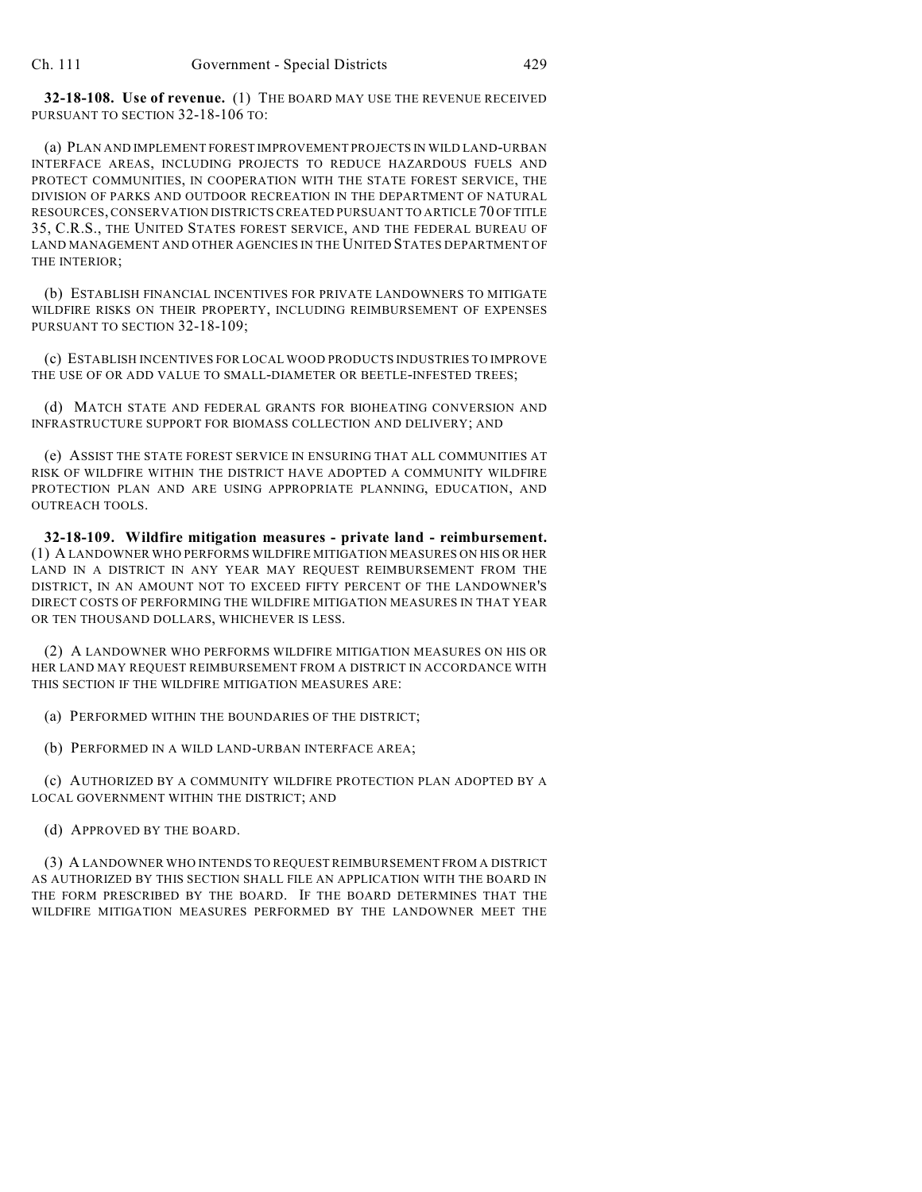**32-18-108. Use of revenue.** (1) THE BOARD MAY USE THE REVENUE RECEIVED PURSUANT TO SECTION 32-18-106 TO:

(a) PLAN AND IMPLEMENT FOREST IMPROVEMENT PROJECTS IN WILD LAND-URBAN INTERFACE AREAS, INCLUDING PROJECTS TO REDUCE HAZARDOUS FUELS AND PROTECT COMMUNITIES, IN COOPERATION WITH THE STATE FOREST SERVICE, THE DIVISION OF PARKS AND OUTDOOR RECREATION IN THE DEPARTMENT OF NATURAL RESOURCES, CONSERVATION DISTRICTS CREATED PURSUANT TO ARTICLE 70 OF TITLE 35, C.R.S., THE UNITED STATES FOREST SERVICE, AND THE FEDERAL BUREAU OF LAND MANAGEMENT AND OTHER AGENCIES IN THE UNITED STATES DEPARTMENT OF THE INTERIOR;

(b) ESTABLISH FINANCIAL INCENTIVES FOR PRIVATE LANDOWNERS TO MITIGATE WILDFIRE RISKS ON THEIR PROPERTY, INCLUDING REIMBURSEMENT OF EXPENSES PURSUANT TO SECTION 32-18-109;

(c) ESTABLISH INCENTIVES FOR LOCAL WOOD PRODUCTS INDUSTRIES TO IMPROVE THE USE OF OR ADD VALUE TO SMALL-DIAMETER OR BEETLE-INFESTED TREES;

(d) MATCH STATE AND FEDERAL GRANTS FOR BIOHEATING CONVERSION AND INFRASTRUCTURE SUPPORT FOR BIOMASS COLLECTION AND DELIVERY; AND

(e) ASSIST THE STATE FOREST SERVICE IN ENSURING THAT ALL COMMUNITIES AT RISK OF WILDFIRE WITHIN THE DISTRICT HAVE ADOPTED A COMMUNITY WILDFIRE PROTECTION PLAN AND ARE USING APPROPRIATE PLANNING, EDUCATION, AND OUTREACH TOOLS.

**32-18-109. Wildfire mitigation measures - private land - reimbursement.** (1) A LANDOWNER WHO PERFORMS WILDFIRE MITIGATION MEASURES ON HIS OR HER LAND IN A DISTRICT IN ANY YEAR MAY REQUEST REIMBURSEMENT FROM THE DISTRICT, IN AN AMOUNT NOT TO EXCEED FIFTY PERCENT OF THE LANDOWNER'S DIRECT COSTS OF PERFORMING THE WILDFIRE MITIGATION MEASURES IN THAT YEAR OR TEN THOUSAND DOLLARS, WHICHEVER IS LESS.

(2) A LANDOWNER WHO PERFORMS WILDFIRE MITIGATION MEASURES ON HIS OR HER LAND MAY REQUEST REIMBURSEMENT FROM A DISTRICT IN ACCORDANCE WITH THIS SECTION IF THE WILDFIRE MITIGATION MEASURES ARE:

(a) PERFORMED WITHIN THE BOUNDARIES OF THE DISTRICT;

(b) PERFORMED IN A WILD LAND-URBAN INTERFACE AREA;

(c) AUTHORIZED BY A COMMUNITY WILDFIRE PROTECTION PLAN ADOPTED BY A LOCAL GOVERNMENT WITHIN THE DISTRICT; AND

(d) APPROVED BY THE BOARD.

(3) A LANDOWNER WHO INTENDS TO REQUEST REIMBURSEMENT FROM A DISTRICT AS AUTHORIZED BY THIS SECTION SHALL FILE AN APPLICATION WITH THE BOARD IN THE FORM PRESCRIBED BY THE BOARD. IF THE BOARD DETERMINES THAT THE WILDFIRE MITIGATION MEASURES PERFORMED BY THE LANDOWNER MEET THE